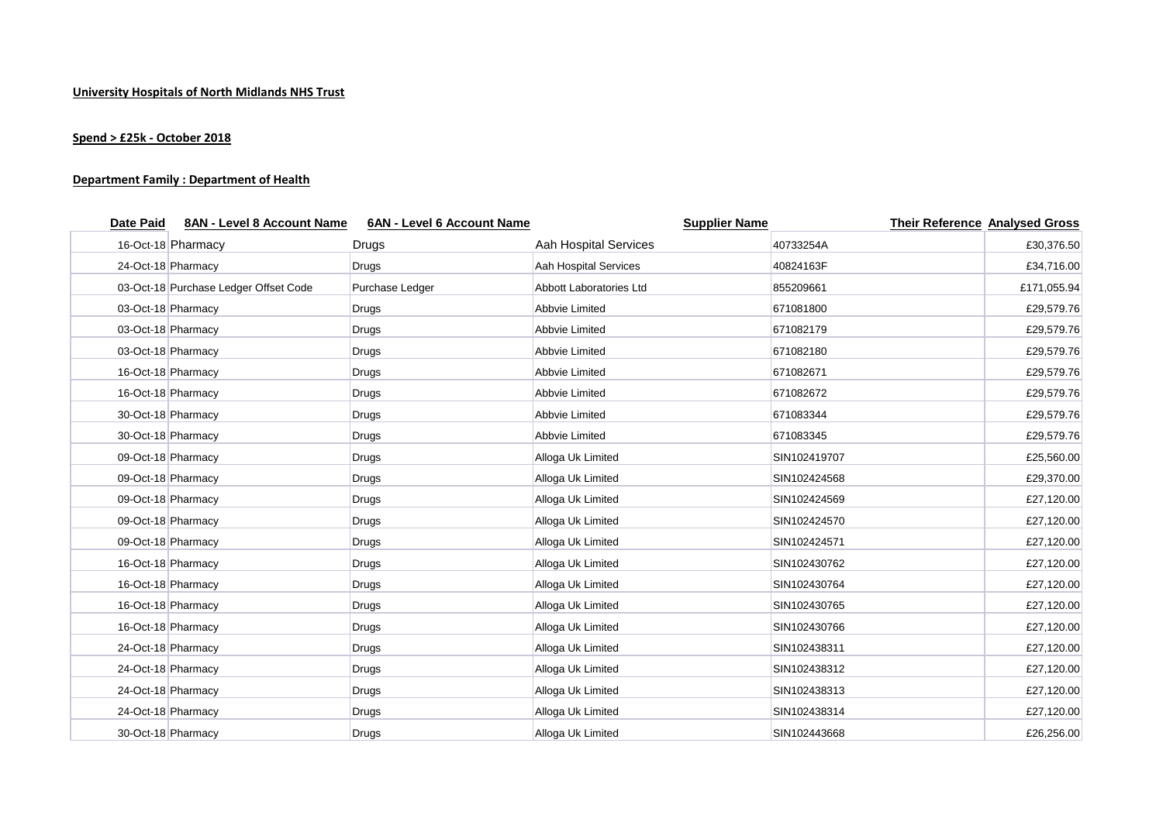## **Spend > £25k - October 2018**

## **Department Family : Department of Health**

| <b>Date Paid</b> | 8AN - Level 8 Account Name            | 6AN - Level 6 Account Name | <b>Supplier Name</b>    |              | <b>Their Reference Analysed Gross</b> |
|------------------|---------------------------------------|----------------------------|-------------------------|--------------|---------------------------------------|
|                  | 16-Oct-18 Pharmacy                    | Drugs                      | Aah Hospital Services   | 40733254A    | £30,376.50                            |
|                  | 24-Oct-18 Pharmacy                    | Drugs                      | Aah Hospital Services   | 40824163F    | £34,716.00                            |
|                  | 03-Oct-18 Purchase Ledger Offset Code | Purchase Ledger            | Abbott Laboratories Ltd | 855209661    | £171,055.94                           |
|                  | 03-Oct-18 Pharmacy                    | Drugs                      | Abbvie Limited          | 671081800    | £29,579.76                            |
|                  | 03-Oct-18 Pharmacy                    | Drugs                      | <b>Abbvie Limited</b>   | 671082179    | £29,579.76                            |
|                  | 03-Oct-18 Pharmacy                    | Drugs                      | Abbvie Limited          | 671082180    | £29,579.76                            |
|                  | 16-Oct-18 Pharmacy                    | Drugs                      | <b>Abbvie Limited</b>   | 671082671    | £29,579.76                            |
|                  | 16-Oct-18 Pharmacy                    | Drugs                      | <b>Abbvie Limited</b>   | 671082672    | £29,579.76                            |
|                  | 30-Oct-18 Pharmacy                    | Drugs                      | <b>Abbvie Limited</b>   | 671083344    | £29,579.76                            |
|                  | 30-Oct-18 Pharmacy                    | Drugs                      | <b>Abbvie Limited</b>   | 671083345    | £29,579.76                            |
|                  | 09-Oct-18 Pharmacy                    | Drugs                      | Alloga Uk Limited       | SIN102419707 | £25,560.00                            |
|                  | 09-Oct-18 Pharmacy                    | Drugs                      | Alloga Uk Limited       | SIN102424568 | £29,370.00                            |
|                  | 09-Oct-18 Pharmacy                    | Drugs                      | Alloga Uk Limited       | SIN102424569 | £27,120.00                            |
|                  | 09-Oct-18 Pharmacy                    | Drugs                      | Alloga Uk Limited       | SIN102424570 | £27,120.00                            |
|                  | 09-Oct-18 Pharmacy                    | Drugs                      | Alloga Uk Limited       | SIN102424571 | £27,120.00                            |
|                  | 16-Oct-18 Pharmacy                    | <b>Drugs</b>               | Alloga Uk Limited       | SIN102430762 | £27,120.00                            |
|                  | 16-Oct-18 Pharmacy                    | Drugs                      | Alloga Uk Limited       | SIN102430764 | £27,120.00                            |
|                  | 16-Oct-18 Pharmacy                    | Drugs                      | Alloga Uk Limited       | SIN102430765 | £27,120.00                            |
|                  | 16-Oct-18 Pharmacy                    | Drugs                      | Alloga Uk Limited       | SIN102430766 | £27,120.00                            |
|                  | 24-Oct-18 Pharmacy                    | Drugs                      | Alloga Uk Limited       | SIN102438311 | £27,120.00                            |
|                  | 24-Oct-18 Pharmacy                    | Drugs                      | Alloga Uk Limited       | SIN102438312 | £27,120.00                            |
|                  | 24-Oct-18 Pharmacy                    | <b>Drugs</b>               | Alloga Uk Limited       | SIN102438313 | £27,120.00                            |
|                  | 24-Oct-18 Pharmacy                    | Drugs                      | Alloga Uk Limited       | SIN102438314 | £27,120.00                            |
|                  | 30-Oct-18 Pharmacy                    | <b>Drugs</b>               | Alloga Uk Limited       | SIN102443668 | £26,256.00                            |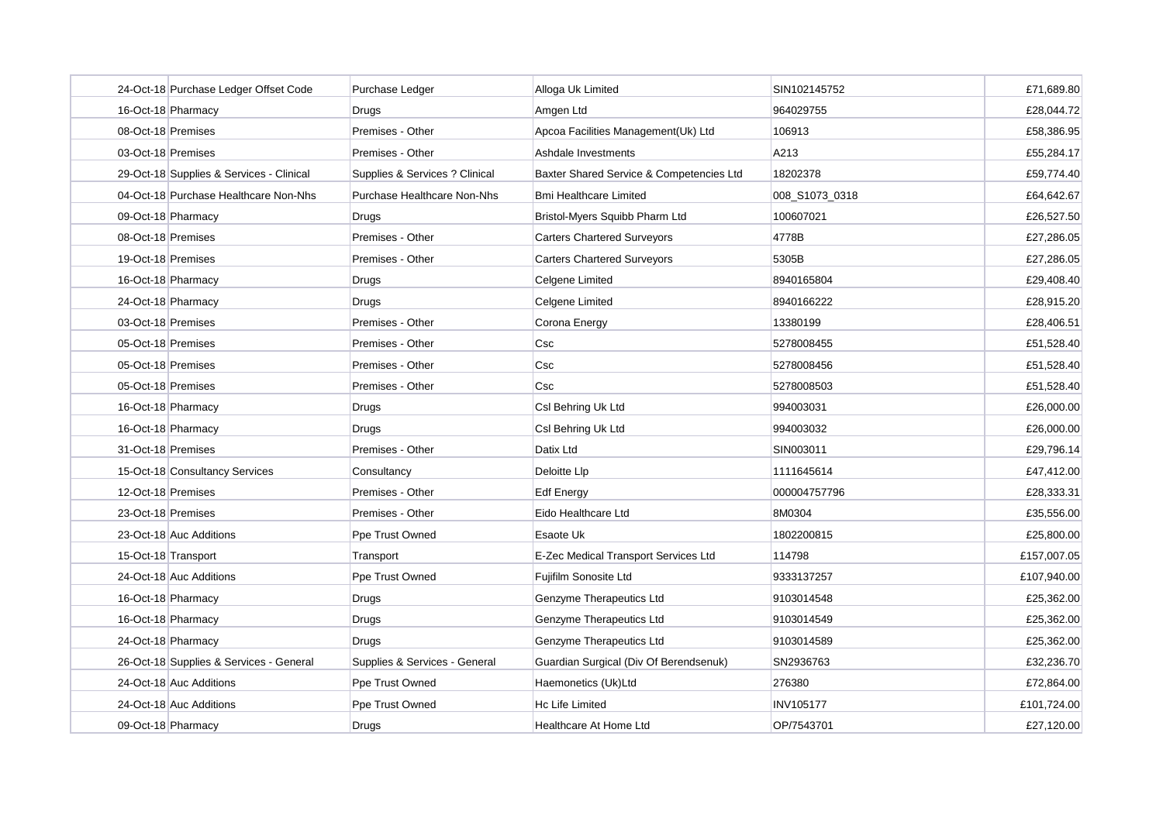|                                | 24-Oct-18 Purchase Ledger Offset Code    | Purchase Ledger                | Alloga Uk Limited                        | SIN102145752     | £71,689.80  |
|--------------------------------|------------------------------------------|--------------------------------|------------------------------------------|------------------|-------------|
| 16-Oct-18 Pharmacy             |                                          | Drugs                          | Amgen Ltd                                | 964029755        | £28.044.72  |
| 08-Oct-18 Premises             |                                          | Premises - Other               | Apcoa Facilities Management(Uk) Ltd      | 106913           | £58,386.95  |
| 03-Oct-18 Premises             |                                          | Premises - Other               | Ashdale Investments                      | A213             | £55,284.17  |
|                                | 29-Oct-18 Supplies & Services - Clinical | Supplies & Services ? Clinical | Baxter Shared Service & Competencies Ltd | 18202378         | £59.774.40  |
|                                | 04-Oct-18 Purchase Healthcare Non-Nhs    | Purchase Healthcare Non-Nhs    | <b>Bmi Healthcare Limited</b>            | 008_S1073_0318   | £64,642.67  |
| 09-Oct-18 Pharmacy             |                                          | Drugs                          | Bristol-Myers Squibb Pharm Ltd           | 100607021        | £26,527.50  |
| 08-Oct-18 Premises             |                                          | Premises - Other               | <b>Carters Chartered Surveyors</b>       | 4778B            | £27,286.05  |
| 19-Oct-18 Premises             |                                          | Premises - Other               | <b>Carters Chartered Surveyors</b>       | 5305B            | £27,286.05  |
| 16-Oct-18 Pharmacy             |                                          | Drugs                          | Celgene Limited                          | 8940165804       | £29,408.40  |
| 24-Oct-18 Pharmacy             |                                          | Drugs                          | Celgene Limited                          | 8940166222       | £28,915.20  |
| 03-Oct-18 Premises             |                                          | Premises - Other               | Corona Energy                            | 13380199         | £28,406.51  |
| 05-Oct-18 Premises             |                                          | Premises - Other               | Csc                                      | 5278008455       | £51,528.40  |
| 05-Oct-18 Premises             |                                          | Premises - Other               | Csc                                      | 5278008456       | £51,528.40  |
| 05-Oct-18 Premises             |                                          | Premises - Other               | Csc                                      | 5278008503       | £51,528.40  |
| 16-Oct-18 Pharmacy             |                                          | Drugs                          | Csl Behring Uk Ltd                       | 994003031        | £26,000.00  |
| 16-Oct-18 Pharmacy             |                                          | Drugs                          | Csl Behring Uk Ltd                       | 994003032        | £26,000.00  |
| 31-Oct-18 Premises             |                                          | Premises - Other               | Datix Ltd                                | SIN003011        | £29,796.14  |
| 15-Oct-18 Consultancy Services |                                          | Consultancy                    | Deloitte Llp                             | 1111645614       | £47,412.00  |
| 12-Oct-18 Premises             |                                          | Premises - Other               | <b>Edf Energy</b>                        | 000004757796     | £28,333.31  |
| 23-Oct-18 Premises             |                                          | Premises - Other               | Eido Healthcare Ltd                      | 8M0304           | £35,556.00  |
| 23-Oct-18 Auc Additions        |                                          | Ppe Trust Owned                | Esaote Uk                                | 1802200815       | £25,800.00  |
| 15-Oct-18 Transport            |                                          | Transport                      | E-Zec Medical Transport Services Ltd     | 114798           | £157,007.05 |
| 24-Oct-18 Auc Additions        |                                          | Ppe Trust Owned                | Fujifilm Sonosite Ltd                    | 9333137257       | £107,940.00 |
| 16-Oct-18 Pharmacy             |                                          | Drugs                          | Genzyme Therapeutics Ltd                 | 9103014548       | £25,362.00  |
| 16-Oct-18 Pharmacy             |                                          | Drugs                          | Genzyme Therapeutics Ltd                 | 9103014549       | £25,362.00  |
| 24-Oct-18 Pharmacy             |                                          | Drugs                          | Genzyme Therapeutics Ltd                 | 9103014589       | £25,362.00  |
|                                | 26-Oct-18 Supplies & Services - General  | Supplies & Services - General  | Guardian Surgical (Div Of Berendsenuk)   | SN2936763        | £32,236.70  |
| 24-Oct-18 Auc Additions        |                                          | Ppe Trust Owned                | Haemonetics (Uk)Ltd                      | 276380           | £72,864.00  |
| 24-Oct-18 Auc Additions        |                                          | Ppe Trust Owned                | Hc Life Limited                          | <b>INV105177</b> | £101,724.00 |
| 09-Oct-18 Pharmacy             |                                          | Drugs                          | Healthcare At Home Ltd                   | OP/7543701       | £27,120.00  |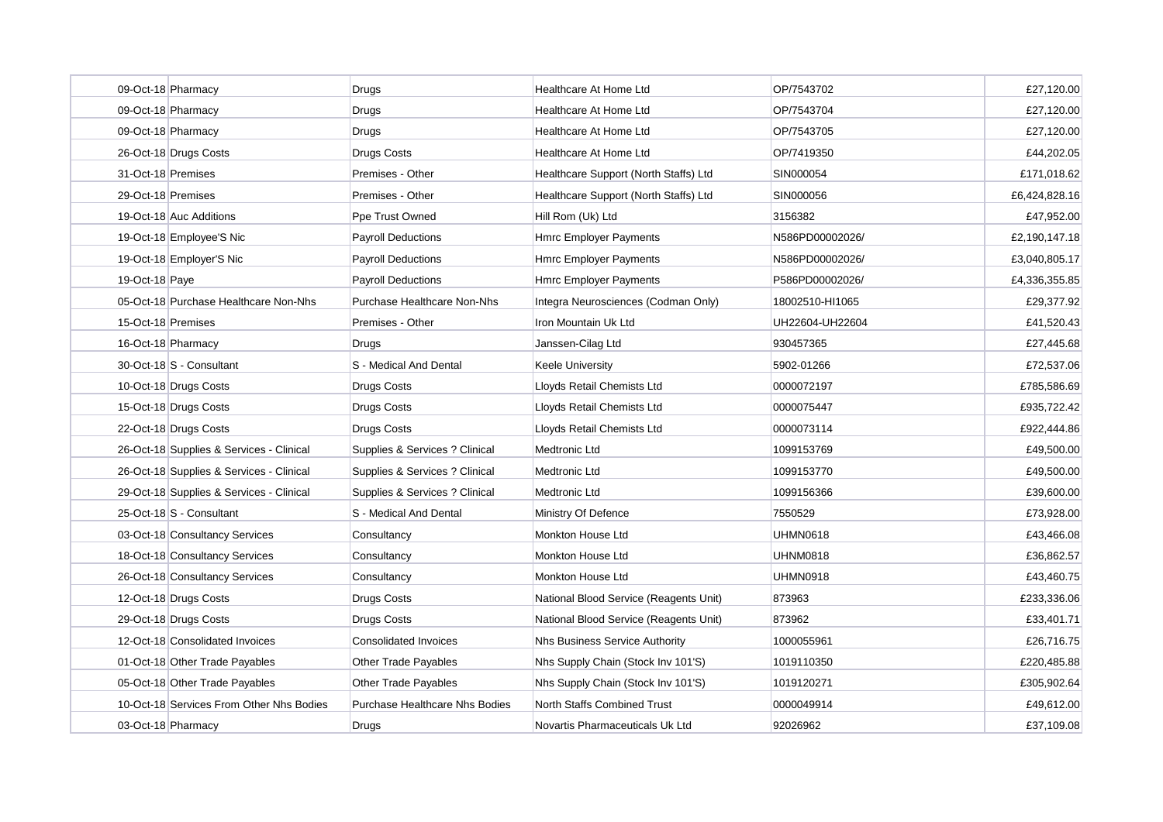|                    | 09-Oct-18 Pharmacy                       | Drugs                                 | Healthcare At Home Ltd                 | OP/7543702      | £27,120.00    |
|--------------------|------------------------------------------|---------------------------------------|----------------------------------------|-----------------|---------------|
|                    | 09-Oct-18 Pharmacy                       | Drugs                                 | <b>Healthcare At Home Ltd</b>          | OP/7543704      | £27,120.00    |
|                    | 09-Oct-18 Pharmacy                       | Drugs                                 | Healthcare At Home Ltd                 | OP/7543705      | £27,120.00    |
|                    | 26-Oct-18 Drugs Costs                    | <b>Drugs Costs</b>                    | Healthcare At Home Ltd                 | OP/7419350      | £44.202.05    |
| 31-Oct-18 Premises |                                          | Premises - Other                      | Healthcare Support (North Staffs) Ltd  | SIN000054       | £171,018.62   |
| 29-Oct-18 Premises |                                          | Premises - Other                      | Healthcare Support (North Staffs) Ltd  | SIN000056       | £6,424,828.16 |
|                    | 19-Oct-18 Auc Additions                  | Ppe Trust Owned                       | Hill Rom (Uk) Ltd                      | 3156382         | £47,952.00    |
|                    | 19-Oct-18 Employee'S Nic                 | <b>Payroll Deductions</b>             | <b>Hmrc Employer Payments</b>          | N586PD00002026/ | £2,190,147.18 |
|                    | 19-Oct-18 Employer'S Nic                 | <b>Payroll Deductions</b>             | <b>Hmrc Employer Payments</b>          | N586PD00002026/ | £3,040,805.17 |
| 19-Oct-18 Paye     |                                          | <b>Payroll Deductions</b>             | <b>Hmrc Employer Payments</b>          | P586PD00002026/ | £4,336,355.85 |
|                    | 05-Oct-18 Purchase Healthcare Non-Nhs    | Purchase Healthcare Non-Nhs           | Integra Neurosciences (Codman Only)    | 18002510-HI1065 | £29,377.92    |
| 15-Oct-18 Premises |                                          | Premises - Other                      | Iron Mountain Uk Ltd                   | UH22604-UH22604 | £41,520.43    |
|                    | 16-Oct-18 Pharmacy                       | Drugs                                 | Janssen-Cilag Ltd                      | 930457365       | £27,445.68    |
|                    | 30-Oct-18 S - Consultant                 | S - Medical And Dental                | <b>Keele University</b>                | 5902-01266      | £72,537.06    |
|                    | 10-Oct-18 Drugs Costs                    | Drugs Costs                           | Lloyds Retail Chemists Ltd             | 0000072197      | £785,586.69   |
|                    | 15-Oct-18 Drugs Costs                    | Drugs Costs                           | Lloyds Retail Chemists Ltd             | 0000075447      | £935,722.42   |
|                    | 22-Oct-18 Drugs Costs                    | Drugs Costs                           | Lloyds Retail Chemists Ltd             | 0000073114      | £922,444.86   |
|                    | 26-Oct-18 Supplies & Services - Clinical | Supplies & Services ? Clinical        | Medtronic Ltd                          | 1099153769      | £49,500.00    |
|                    | 26-Oct-18 Supplies & Services - Clinical | Supplies & Services ? Clinical        | Medtronic Ltd                          | 1099153770      | £49,500.00    |
|                    | 29-Oct-18 Supplies & Services - Clinical | Supplies & Services ? Clinical        | Medtronic Ltd                          | 1099156366      | £39,600.00    |
|                    | 25-Oct-18 S - Consultant                 | S - Medical And Dental                | Ministry Of Defence                    | 7550529         | £73,928.00    |
|                    | 03-Oct-18 Consultancy Services           | Consultancy                           | Monkton House Ltd                      | <b>UHMN0618</b> | £43,466.08    |
|                    | 18-Oct-18 Consultancy Services           | Consultancy                           | <b>Monkton House Ltd</b>               | <b>UHNM0818</b> | £36,862.57    |
|                    | 26-Oct-18 Consultancy Services           | Consultancy                           | Monkton House Ltd                      | <b>UHMN0918</b> | £43,460.75    |
|                    | 12-Oct-18 Drugs Costs                    | <b>Drugs Costs</b>                    | National Blood Service (Reagents Unit) | 873963          | £233,336.06   |
|                    | 29-Oct-18 Drugs Costs                    | Drugs Costs                           | National Blood Service (Reagents Unit) | 873962          | £33,401.71    |
|                    | 12-Oct-18 Consolidated Invoices          | <b>Consolidated Invoices</b>          | Nhs Business Service Authority         | 1000055961      | £26,716.75    |
|                    | 01-Oct-18 Other Trade Payables           | Other Trade Payables                  | Nhs Supply Chain (Stock Inv 101'S)     | 1019110350      | £220,485.88   |
|                    | 05-Oct-18 Other Trade Payables           | Other Trade Payables                  | Nhs Supply Chain (Stock Inv 101'S)     | 1019120271      | £305,902.64   |
|                    | 10-Oct-18 Services From Other Nhs Bodies | <b>Purchase Healthcare Nhs Bodies</b> | North Staffs Combined Trust            | 0000049914      | £49,612.00    |
|                    | 03-Oct-18 Pharmacy                       | Drugs                                 | Novartis Pharmaceuticals Uk Ltd        | 92026962        | £37,109.08    |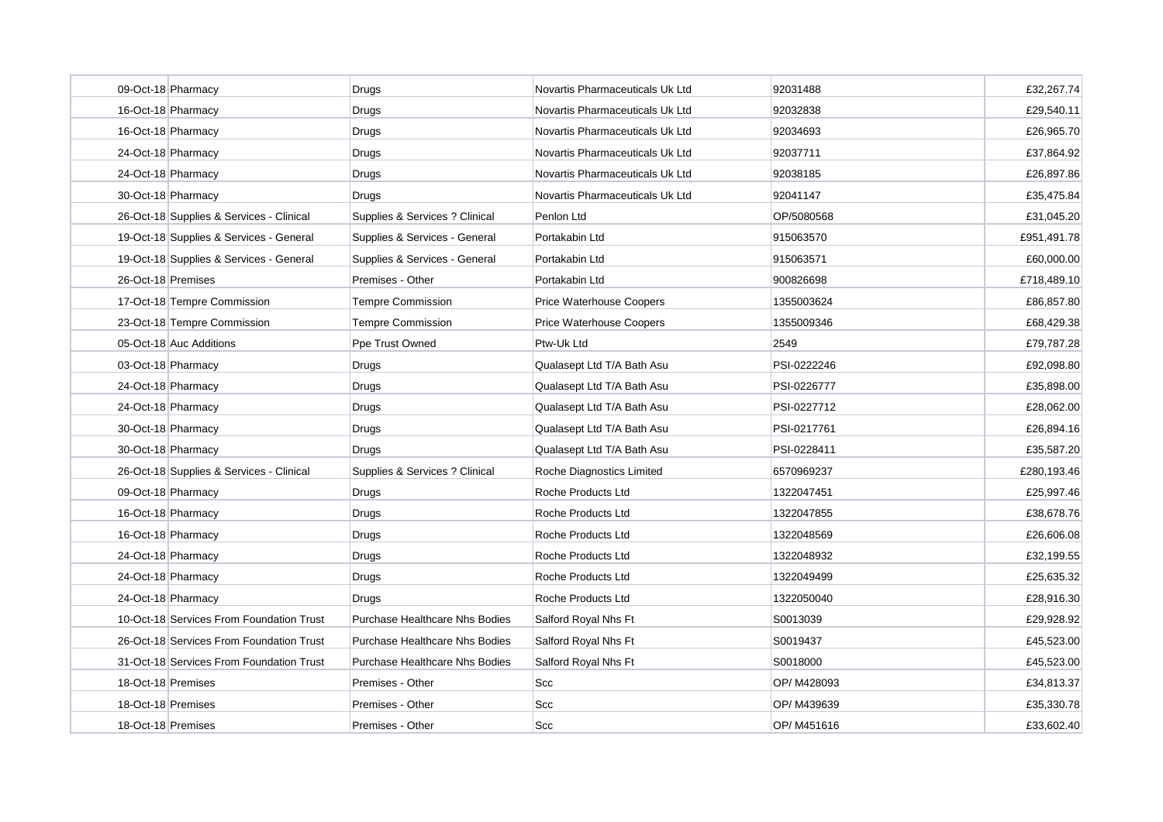| 09-Oct-18 Pharmacy                       | Drugs                                 | Novartis Pharmaceuticals Uk Ltd | 92031488    | £32,267.74  |
|------------------------------------------|---------------------------------------|---------------------------------|-------------|-------------|
| 16-Oct-18 Pharmacy                       | Drugs                                 | Novartis Pharmaceuticals Uk Ltd | 92032838    | £29,540.11  |
| 16-Oct-18 Pharmacy                       | Drugs                                 | Novartis Pharmaceuticals Uk Ltd | 92034693    | £26,965.70  |
| 24-Oct-18 Pharmacy                       | Drugs                                 | Novartis Pharmaceuticals Uk Ltd | 92037711    | £37.864.92  |
| 24-Oct-18 Pharmacy                       | Drugs                                 | Novartis Pharmaceuticals Uk Ltd | 92038185    | £26,897.86  |
| 30-Oct-18 Pharmacy                       | Drugs                                 | Novartis Pharmaceuticals Uk Ltd | 92041147    | £35,475.84  |
| 26-Oct-18 Supplies & Services - Clinical | Supplies & Services ? Clinical        | Penlon Ltd                      | OP/5080568  | £31,045.20  |
| 19-Oct-18 Supplies & Services - General  | Supplies & Services - General         | Portakabin Ltd                  | 915063570   | £951,491.78 |
| 19-Oct-18 Supplies & Services - General  | Supplies & Services - General         | Portakabin Ltd                  | 915063571   | £60,000.00  |
| 26-Oct-18 Premises                       | Premises - Other                      | Portakabin Ltd                  | 900826698   | £718,489.10 |
| 17-Oct-18 Tempre Commission              | Tempre Commission                     | Price Waterhouse Coopers        | 1355003624  | £86,857.80  |
| 23-Oct-18 Tempre Commission              | Tempre Commission                     | Price Waterhouse Coopers        | 1355009346  | £68,429.38  |
| 05-Oct-18 Auc Additions                  | Ppe Trust Owned                       | Ptw-Uk Ltd                      | 2549        | £79,787.28  |
| 03-Oct-18 Pharmacy                       | Drugs                                 | Qualasept Ltd T/A Bath Asu      | PSI-0222246 | £92,098.80  |
| 24-Oct-18 Pharmacy                       | Drugs                                 | Qualasept Ltd T/A Bath Asu      | PSI-0226777 | £35,898.00  |
| 24-Oct-18 Pharmacy                       | Drugs                                 | Qualasept Ltd T/A Bath Asu      | PSI-0227712 | £28,062.00  |
| 30-Oct-18 Pharmacy                       | Drugs                                 | Qualasept Ltd T/A Bath Asu      | PSI-0217761 | £26,894.16  |
| 30-Oct-18 Pharmacy                       | Drugs                                 | Qualasept Ltd T/A Bath Asu      | PSI-0228411 | £35,587.20  |
| 26-Oct-18 Supplies & Services - Clinical | Supplies & Services ? Clinical        | Roche Diagnostics Limited       | 6570969237  | £280,193.46 |
| 09-Oct-18 Pharmacy                       | Drugs                                 | Roche Products Ltd              | 1322047451  | £25,997.46  |
| 16-Oct-18 Pharmacy                       | Drugs                                 | Roche Products Ltd              | 1322047855  | £38,678.76  |
| 16-Oct-18 Pharmacy                       | Drugs                                 | Roche Products Ltd              | 1322048569  | £26,606.08  |
| 24-Oct-18 Pharmacy                       | Drugs                                 | <b>Roche Products Ltd</b>       | 1322048932  | £32,199.55  |
| 24-Oct-18 Pharmacy                       | Drugs                                 | Roche Products Ltd              | 1322049499  | £25,635.32  |
| 24-Oct-18 Pharmacy                       | Drugs                                 | Roche Products Ltd              | 1322050040  | £28,916.30  |
| 10-Oct-18 Services From Foundation Trust | <b>Purchase Healthcare Nhs Bodies</b> | Salford Royal Nhs Ft            | S0013039    | £29,928.92  |
| 26-Oct-18 Services From Foundation Trust | <b>Purchase Healthcare Nhs Bodies</b> | Salford Royal Nhs Ft            | S0019437    | £45,523.00  |
| 31-Oct-18 Services From Foundation Trust | <b>Purchase Healthcare Nhs Bodies</b> | Salford Royal Nhs Ft            | S0018000    | £45,523.00  |
| 18-Oct-18 Premises                       | Premises - Other                      | <b>Scc</b>                      | OP/ M428093 | £34,813.37  |
| 18-Oct-18 Premises                       | Premises - Other                      | <b>Scc</b>                      | OP/ M439639 | £35,330.78  |
| 18-Oct-18 Premises                       | Premises - Other                      | <b>Scc</b>                      | OP/ M451616 | £33,602.40  |